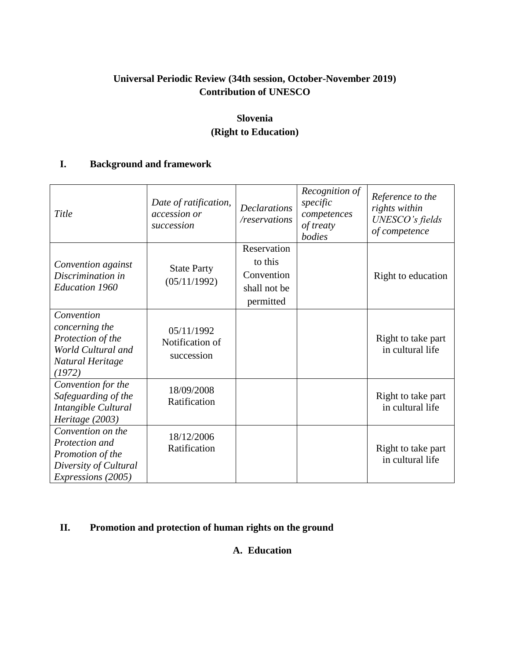# **Universal Periodic Review (34th session, October-November 2019) Contribution of UNESCO**

# **Slovenia (Right to Education)**

## **I. Background and framework**

| Title                                                                                                  | Date of ratification,<br>accession or<br>succession | <b>Declarations</b><br>/reservations                              | Recognition of<br>specific<br>competences<br>of treaty<br>bodies | Reference to the<br>rights within<br>UNESCO's fields<br>of competence |
|--------------------------------------------------------------------------------------------------------|-----------------------------------------------------|-------------------------------------------------------------------|------------------------------------------------------------------|-----------------------------------------------------------------------|
| Convention against<br>Discrimination in<br><b>Education 1960</b>                                       | <b>State Party</b><br>(05/11/1992)                  | Reservation<br>to this<br>Convention<br>shall not be<br>permitted |                                                                  | Right to education                                                    |
| Convention<br>concerning the<br>Protection of the<br>World Cultural and<br>Natural Heritage<br>(1972)  | 05/11/1992<br>Notification of<br>succession         |                                                                   |                                                                  | Right to take part<br>in cultural life                                |
| Convention for the<br>Safeguarding of the<br>Intangible Cultural<br>Heritage (2003)                    | 18/09/2008<br>Ratification                          |                                                                   |                                                                  | Right to take part<br>in cultural life                                |
| Convention on the<br>Protection and<br>Promotion of the<br>Diversity of Cultural<br>Expressions (2005) | 18/12/2006<br>Ratification                          |                                                                   |                                                                  | Right to take part<br>in cultural life                                |

## **II. Promotion and protection of human rights on the ground**

# **A. Education**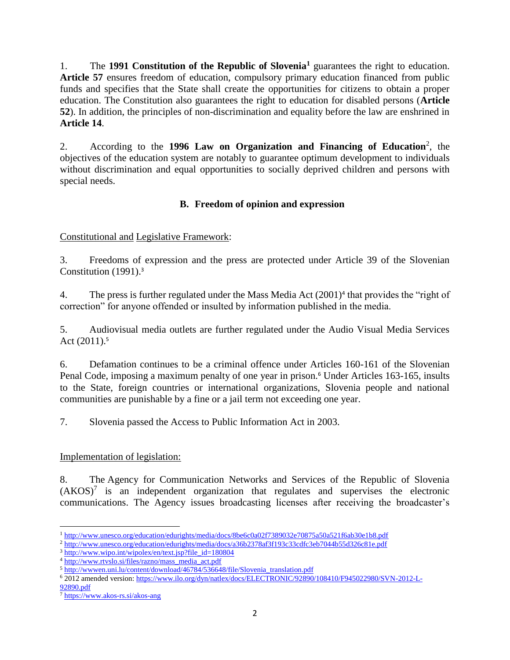1. The **1991 Constitution of the Republic of Slovenia<sup>1</sup>** guarantees the right to education. **Article 57** ensures freedom of education, compulsory primary education financed from public funds and specifies that the State shall create the opportunities for citizens to obtain a proper education. The Constitution also guarantees the right to education for disabled persons (**Article 52**). In addition, the principles of non-discrimination and equality before the law are enshrined in **Article 14**.

2. According to the 1996 Law on Organization and Financing of Education<sup>2</sup>, the objectives of the education system are notably to guarantee optimum development to individuals without discrimination and equal opportunities to socially deprived children and persons with special needs.

# **B. Freedom of opinion and expression**

## Constitutional and Legislative Framework:

3. Freedoms of expression and the press are protected under Article 39 of the Slovenian Constitution (1991).<sup>3</sup>

4. The press is further regulated under the Mass Media Act  $(2001)^4$  that provides the "right of correction" for anyone offended or insulted by information published in the media.

5. Audiovisual media outlets are further regulated under the Audio Visual Media Services Act  $(2011).5$ 

6. Defamation continues to be a criminal offence under Articles 160-161 of the Slovenian Penal Code, imposing a maximum penalty of one year in prison.<sup>6</sup> Under Articles 163-165, insults to the State, foreign countries or international organizations, Slovenia people and national communities are punishable by a fine or a jail term not exceeding one year.

7. Slovenia passed the Access to Public Information Act in 2003.

## Implementation of legislation:

8. The Agency for Communication Networks and Services of the Republic of Slovenia  $(AKOS)^7$  is an independent organization that regulates and supervises the electronic communications. The Agency issues broadcasting licenses after receiving the broadcaster's

 $\overline{\phantom{a}}$ <sup>1</sup><http://www.unesco.org/education/edurights/media/docs/8be6c0a02f7389032e70875a50a521f6ab30e1b8.pdf>

<sup>2</sup> <http://www.unesco.org/education/edurights/media/docs/a36b2378af3f193c33cdfc3eb7044b55d326c81e.pdf>

 $3$  http://www.wipo.int/wipolex/en/text.jsp?file id=180804

<sup>4</sup> [http://www.rtvslo.si/files/razno/mass\\_media\\_act.pdf](http://www.rtvslo.si/files/razno/mass_media_act.pdf)

<sup>5</sup> [http://wwwen.uni.lu/content/download/46784/536648/file/Slovenia\\_translation.pdf](http://wwwen.uni.lu/content/download/46784/536648/file/Slovenia_translation.pdf)

<sup>6</sup> 2012 amended version[: https://www.ilo.org/dyn/natlex/docs/ELECTRONIC/92890/108410/F945022980/SVN-2012-L-](https://www.ilo.org/dyn/natlex/docs/ELECTRONIC/92890/108410/F945022980/SVN-2012-L-92890.pdf)[92890.pdf](https://www.ilo.org/dyn/natlex/docs/ELECTRONIC/92890/108410/F945022980/SVN-2012-L-92890.pdf)

<sup>7</sup> <https://www.akos-rs.si/akos-ang>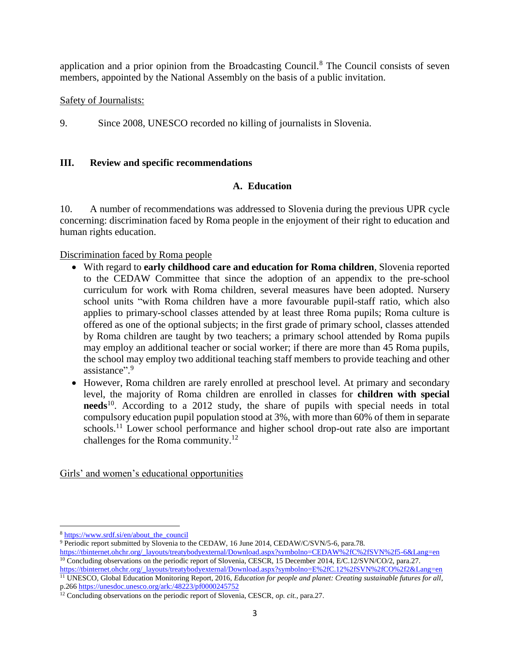application and a prior opinion from the Broadcasting Council.<sup>8</sup> The Council consists of seven members, appointed by the National Assembly on the basis of a public invitation.

## Safety of Journalists:

9. Since 2008, UNESCO recorded no killing of journalists in Slovenia.

#### **III. Review and specific recommendations**

## **A. Education**

10. A number of recommendations was addressed to Slovenia during the previous UPR cycle concerning: discrimination faced by Roma people in the enjoyment of their right to education and human rights education.

#### Discrimination faced by Roma people

- With regard to **early childhood care and education for Roma children**, Slovenia reported to the CEDAW Committee that since the adoption of an appendix to the pre-school curriculum for work with Roma children, several measures have been adopted. Nursery school units "with Roma children have a more favourable pupil-staff ratio, which also applies to primary-school classes attended by at least three Roma pupils; Roma culture is offered as one of the optional subjects; in the first grade of primary school, classes attended by Roma children are taught by two teachers; a primary school attended by Roma pupils may employ an additional teacher or social worker; if there are more than 45 Roma pupils, the school may employ two additional teaching staff members to provide teaching and other assistance". 9
- However, Roma children are rarely enrolled at preschool level. At primary and secondary level, the majority of Roma children are enrolled in classes for **children with special**  needs<sup>10</sup>. According to a 2012 study, the share of pupils with special needs in total compulsory education pupil population stood at 3%, with more than 60% of them in separate schools.<sup>11</sup> Lower school performance and higher school drop-out rate also are important challenges for the Roma community.<sup>12</sup>

Girls' and women's educational opportunities

 $\overline{a}$ 

<sup>8</sup> [https://www.srdf.si/en/about\\_the\\_council](https://www.srdf.si/en/about_the_council)

<sup>9</sup> Periodic report submitted by Slovenia to the CEDAW, 16 June 2014, CEDAW/C/SVN/5-6, para.78.

[https://tbinternet.ohchr.org/\\_layouts/treatybodyexternal/Download.aspx?symbolno=CEDAW%2fC%2fSVN%2f5-6&Lang=en](https://tbinternet.ohchr.org/_layouts/treatybodyexternal/Download.aspx?symbolno=CEDAW%2fC%2fSVN%2f5-6&Lang=en) <sup>10</sup> Concluding observations on the periodic report of Slovenia, CESCR, 15 December 2014, E/C.12/SVN/CO/2, para.27. [https://tbinternet.ohchr.org/\\_layouts/treatybodyexternal/Download.aspx?symbolno=E%2fC.12%2fSVN%2fCO%2f2&Lang=en](https://tbinternet.ohchr.org/_layouts/treatybodyexternal/Download.aspx?symbolno=E%2fC.12%2fSVN%2fCO%2f2&Lang=en) <sup>11</sup> UNESCO, Global Education Monitoring Report, 2016, *Education for people and planet: Creating sustainable futures for all*, p.266 <https://unesdoc.unesco.org/ark:/48223/pf0000245752>

<sup>12</sup> Concluding observations on the periodic report of Slovenia, CESCR, *op. cit.*, para.27.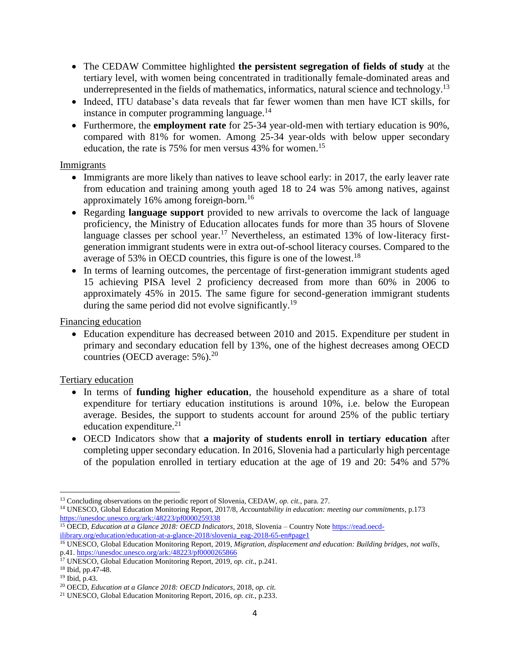- The CEDAW Committee highlighted **the persistent segregation of fields of study** at the tertiary level, with women being concentrated in traditionally female-dominated areas and underrepresented in the fields of mathematics, informatics, natural science and technology.<sup>13</sup>
- Indeed, ITU database's data reveals that far fewer women than men have ICT skills, for instance in computer programming language.<sup>14</sup>
- Furthermore, the **employment rate** for 25-34 year-old-men with tertiary education is 90%, compared with 81% for women. Among 25-34 year-olds with below upper secondary education, the rate is 75% for men versus 43% for women.<sup>15</sup>

#### Immigrants

- Immigrants are more likely than natives to leave school early: in 2017, the early leaver rate from education and training among youth aged 18 to 24 was 5% among natives, against approximately 16% among foreign-born. 16
- Regarding **language support** provided to new arrivals to overcome the lack of language proficiency, the Ministry of Education allocates funds for more than 35 hours of Slovene language classes per school year.<sup>17</sup> Nevertheless, an estimated 13% of low-literacy firstgeneration immigrant students were in extra out-of-school literacy courses. Compared to the average of 53% in OECD countries, this figure is one of the lowest.<sup>18</sup>
- In terms of learning outcomes, the percentage of first-generation immigrant students aged 15 achieving PISA level 2 proficiency decreased from more than 60% in 2006 to approximately 45% in 2015. The same figure for second-generation immigrant students during the same period did not evolve significantly.<sup>19</sup>

Financing education

 Education expenditure has decreased between 2010 and 2015. Expenditure per student in primary and secondary education fell by 13%, one of the highest decreases among OECD countries (OECD average:  $5\%$ ).<sup>20</sup>

## Tertiary education

- In terms of **funding higher education**, the household expenditure as a share of total expenditure for tertiary education institutions is around 10%, i.e. below the European average. Besides, the support to students account for around 25% of the public tertiary education expenditure.<sup>21</sup>
- OECD Indicators show that **a majority of students enroll in tertiary education** after completing upper secondary education. In 2016, Slovenia had a particularly high percentage of the population enrolled in tertiary education at the age of 19 and 20: 54% and 57%

l <sup>13</sup> Concluding observations on the periodic report of Slovenia, CEDAW, *op. cit.*, para. 27.

<sup>14</sup> UNESCO, Global Education Monitoring Report, 2017/8, *Accountability in education: meeting our commitments*, p.173 <https://unesdoc.unesco.org/ark:/48223/pf0000259338>

<sup>&</sup>lt;sup>15</sup> OECD, *Education at a Glance 2018: OECD Indicators*, 2018, Slovenia – Country Not[e https://read.oecd](https://read.oecd-ilibrary.org/education/education-at-a-glance-2018/slovenia_eag-2018-65-en#page1)[ilibrary.org/education/education-at-a-glance-2018/slovenia\\_eag-2018-65-en#page1](https://read.oecd-ilibrary.org/education/education-at-a-glance-2018/slovenia_eag-2018-65-en#page1)

<sup>&</sup>lt;sup>16</sup> UNESCO, Global Education Monitoring Report, 2019, Migration, displacement and education: Building bridges, not walls, p.41. <https://unesdoc.unesco.org/ark:/48223/pf0000265866>

<sup>17</sup> UNESCO, Global Education Monitoring Report, 2019, *op. cit.*, p.241.

<sup>18</sup> Ibid*,* pp.47-48.

<sup>19</sup> Ibid, p.43.

<sup>20</sup> OECD, *Education at a Glance 2018: OECD Indicators*, 2018, *op. cit.*

<sup>21</sup> UNESCO, Global Education Monitoring Report, 2016, *op. cit.*, p.233.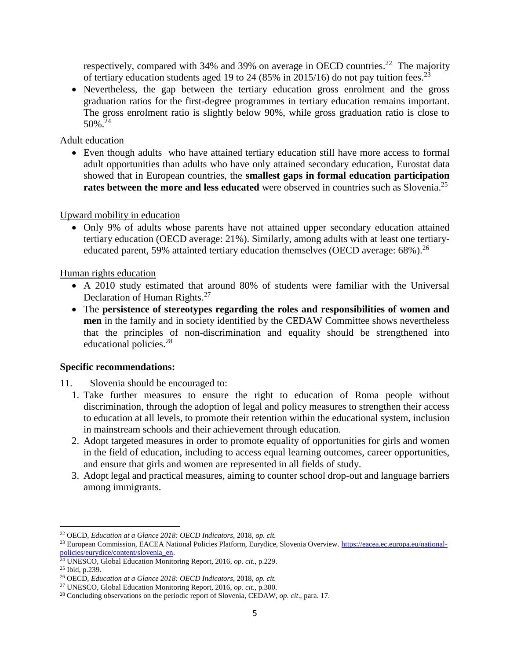respectively, compared with 34% and 39% on average in OECD countries.<sup>22</sup> The majority of tertiary education students aged 19 to 24 (85% in 2015/16) do not pay tuition fees.<sup>23</sup>

• Nevertheless, the gap between the tertiary education gross enrolment and the gross graduation ratios for the first-degree programmes in tertiary education remains important. The gross enrolment ratio is slightly below 90%, while gross graduation ratio is close to  $50\%$ <sup>24</sup>

#### Adult education

 Even though adults who have attained tertiary education still have more access to formal adult opportunities than adults who have only attained secondary education, Eurostat data showed that in European countries, the **smallest gaps in formal education participation rates between the more and less educated** were observed in countries such as Slovenia. 25

#### Upward mobility in education

 Only 9% of adults whose parents have not attained upper secondary education attained tertiary education (OECD average: 21%). Similarly, among adults with at least one tertiaryeducated parent, 59% attainted tertiary education themselves (OECD average:  $68\%$ ).<sup>26</sup>

Human rights education

- A 2010 study estimated that around 80% of students were familiar with the Universal Declaration of Human Rights.<sup>27</sup>
- The **persistence of stereotypes regarding the roles and responsibilities of women and men** in the family and in society identified by the CEDAW Committee shows nevertheless that the principles of non-discrimination and equality should be strengthened into educational policies.<sup>28</sup>

## **Specific recommendations:**

- 11. Slovenia should be encouraged to:
	- 1. Take further measures to ensure the right to education of Roma people without discrimination, through the adoption of legal and policy measures to strengthen their access to education at all levels, to promote their retention within the educational system, inclusion in mainstream schools and their achievement through education.
	- 2. Adopt targeted measures in order to promote equality of opportunities for girls and women in the field of education, including to access equal learning outcomes, career opportunities, and ensure that girls and women are represented in all fields of study.
	- 3. Adopt legal and practical measures, aiming to counter school drop-out and language barriers among immigrants.

 $\overline{\phantom{a}}$ <sup>22</sup> OECD, *Education at a Glance 2018: OECD Indicators*, 2018, *op. cit.*

<sup>&</sup>lt;sup>23</sup> European Commission, EACEA National Policies Platform, Eurydice, Slovenia Overview. [https://eacea.ec.europa.eu/national](https://eacea.ec.europa.eu/national-policies/eurydice/content/slovenia_en)[policies/eurydice/content/slovenia\\_en.](https://eacea.ec.europa.eu/national-policies/eurydice/content/slovenia_en)

<sup>24</sup> UNESCO, Global Education Monitoring Report, 2016, *op. cit.*, p.229.

<sup>25</sup> Ibid, p.239.

<sup>26</sup> OECD, *Education at a Glance 2018: OECD Indicators*, 2018, *op. cit.*

<sup>27</sup> UNESCO, Global Education Monitoring Report, 2016, *op. cit.*, p.300.

<sup>28</sup> Concluding observations on the periodic report of Slovenia, CEDAW, *op. cit*., para. 17.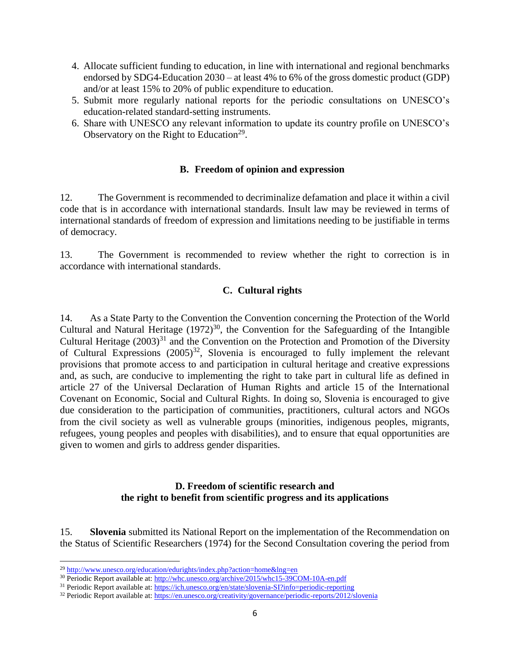- 4. Allocate sufficient funding to education, in line with international and regional benchmarks endorsed by SDG4-Education 2030 – at least 4% to 6% of the gross domestic product (GDP) and/or at least 15% to 20% of public expenditure to education.
- 5. Submit more regularly national reports for the periodic consultations on UNESCO's education-related standard-setting instruments.
- 6. Share with UNESCO any relevant information to update its country profile on UNESCO's Observatory on the Right to Education<sup>29</sup>.

## **B. Freedom of opinion and expression**

12. The Government is recommended to decriminalize defamation and place it within a civil code that is in accordance with international standards. Insult law may be reviewed in terms of international standards of freedom of expression and limitations needing to be justifiable in terms of democracy.

13. The Government is recommended to review whether the right to correction is in accordance with international standards.

## **C. Cultural rights**

14. As a State Party to the Convention the Convention concerning the Protection of the World Cultural and Natural Heritage  $(1972)^{30}$ , the Convention for the Safeguarding of the Intangible Cultural Heritage  $(2003)^{31}$  and the Convention on the Protection and Promotion of the Diversity of Cultural Expressions  $(2005)^{32}$ , Slovenia is encouraged to fully implement the relevant provisions that promote access to and participation in cultural heritage and creative expressions and, as such, are conducive to implementing the right to take part in cultural life as defined in article 27 of the Universal Declaration of Human Rights and article 15 of the International Covenant on Economic, Social and Cultural Rights. In doing so, Slovenia is encouraged to give due consideration to the participation of communities, practitioners, cultural actors and NGOs from the civil society as well as vulnerable groups (minorities, indigenous peoples, migrants, refugees, young peoples and peoples with disabilities), and to ensure that equal opportunities are given to women and girls to address gender disparities.

## **D. Freedom of scientific research and the right to benefit from scientific progress and its applications**

15. **Slovenia** submitted its National Report on the implementation of the Recommendation on the Status of Scientific Researchers (1974) for the Second Consultation covering the period from

l

<sup>&</sup>lt;sup>29</sup> <http://www.unesco.org/education/edurights/index.php?action=home&lng=en>

<sup>30</sup> Periodic Report available at:<http://whc.unesco.org/archive/2015/whc15-39COM-10A-en.pdf>

<sup>&</sup>lt;sup>31</sup> Periodic Report available at:<https://ich.unesco.org/en/state/slovenia-SI?info=periodic-reporting>

<sup>&</sup>lt;sup>32</sup> Periodic Report available at:<https://en.unesco.org/creativity/governance/periodic-reports/2012/slovenia>